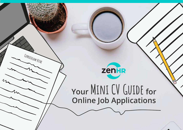

**Curriculum Vitae**

# **Your Mini CV Guide for Online Job Applications**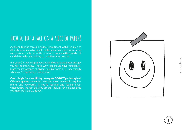## **How to put a face on a piece of paper!**

Applying to jobs through online recruitment websites such as Akhtaboot or even by email can be a very competitive process as you are actually one of the hundreds - or even thousands - of candidates who are looking to land the same position.

It is your CV that will put you ahead of other candidates and get you to the interview. That's why you should never underesti mate the importance of giving your CV some TLC - specifically when you're applying to jobs online.

One thing is for sure: Hiring managers DO NOT go through all CVs one by one; they filter them out based on certain requirements and keywords. If you're reading and feeling over whelmed by the fact that you are still looking for a job, it's time you changed your CV game.



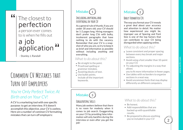### The closest to perfection a person ever comes to is when he fills out a job application " "

- Stanley J. Randall

## **Common CV Mistakes that** TURN OFF EMPLOYERS

### *You're Only Perfect Twice: At Birth and on Your CV!*

A CV is a marketing tool with one specific purpose: to get an interview. If it doesn't accomplish this objective, your CV is useless. Here are a number of common CV formatting mistakes that can turn off employers:



## **Including anything and**

As a general rule of thumb, if you are under 30 years old, your CV should be 1-2 pages long. Hiring managers don't prefer long CVs with bulky, incoherent paragraphs that have nothing to do with the vacancy. Remember that your CV is a snapshot of who you are, so try to keep it as brief and informative as possible without including anything and everything.

#### *What to do about this?*

- Be straight to the point.
- Proofread spelling or grammar mistakes.
- Avoid big blocks of text.
- Use bullet points.
- Include all the important keywords.

## Mistake (2

### **Badly Formatted CVs**

**EVERYTHING IN YOUR CV** The way you format your CV reveals a great deal about your accuracy and attention to detail. No matter how experienced you might be, improper use of Spacing and Font Size is one of the top factors that can contribute to your CV being disregarded when applying online.

### *What to do about this?*

- Leave consistent and proper spacing between every key break and major sections.
- Avoid using a font smaller than 10-point on your CV.
- Try adjusting the margins in a way that allows

you to fit more information in fewer pages.

- Use tables with no borders to organize sections in a neat way.
- Avoid uncommon fonts that may display differently on different computers.

**Mistake** 

#### **Exaggerating Skills**

Many job seekers believe that there is no room for modesty when it comes to job search. Exaggerating on your CV by providing false information will only backfire during the interview or even after you get the job!

#### *What to do about this?*

- Be honest.
- Add responsibilities that are backed up with quantifiable results.
- Be prepared to discuss anything you've included in your CV

2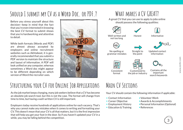## **Should I submit my CV as a Word Doc. or PDF.?**

Before you stress yourself about this decision—keep in mind that the fact that you're even interested in knowing the best CV format to submit shows that you're hardworking and attentive to detail.

While both formats (Words and PDF) are almost always accepted by employers and online recruitment websites such as Akhtaboot, it is generally recommended that you submit a PDF version to maintain the structure and layout of information. A PDF will look unified on any computer, whereas sometimes a Word doc might appear to be different depending on which version of Word the recruiter uses.



## **What makes a CV GREAT?**

A great CV that you can use to apply to jobs online should possess the following qualities:









Well-written and not too long

Honest

Consistent format

No spelling or grammar mistakes

Straight to the point Updated contact

information

Informative



Contains all the important

search keywords

**Structuring your CV for Online Job Applications** 

As the job market keeps changing, many job seekers believe that a CV has become an obsolete job search tool, but this is not the case. The format will change from time to time, but having a well-written CV is still important.

Employers today receive hundreds of applications online for each vacancy. That's why you cannot make any mistakes when it comes to writing and formatting your CV. This doesn't mean that your CV is all that matters, but it is the first impression that will help you get your foot in the door. So if you haven't updated your CV in a while, you may be falling behind the competition.

## **Main CV Sections**

Your CV should contain the following information if applicable:

Customized to the job or industry

- Contact Information
- Career Objective
- Employment History
- Education & Training
- Volunteer Work
- Awards & Accomplishments
- Personal Information (Optional)
- References

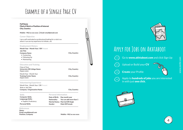## **Example of a Single Page CV**

Full Name Filed of Work or Position of Interest City, Country

**Mobile: +962 xx xxx xxxx Email: email@email.com**

#### **Career Objective**

I am a self-motivated xx professional looking for a role in xx where I can use my experience to initiate...etc

#### **Employment History**

**Month Year - Month Year / OR Present Job Title Company Name** • Contacting • Following Up • Maintaining

#### **Education and Training**

| Class of Year<br>University OR College Name<br>Degree name | City, Country |
|------------------------------------------------------------|---------------|
| Month Year - Month Year                                    |               |
| <b>Training Center Name</b><br>Degree name                 | City, Country |

**Personal Information Date of Birth: Day month year**

**Marital Status: Married OR Single**

**Nationality:**

**Gender:**

#### **Volunteering Experience**

Month Year - Month Year / OR Present Role or Job Title **Company / Organization Name**

**Skills**

**Computer Skills: Languauge Skills:** • English, Proficiency

**Personal Skills:**

#### **References**

**Name: Email: email@email.com**

Position, Company **Mobile: +962 xx xxx** xxxx

**You can add more than 1**

**Male OR Female** 

**City, Country**

**City, Country**



## **Apply for Jobs on Akhtaboot**

Go to www.akhtaboot.com and click Sign Up

Upload or Build your CV



**Create your Profile** 

2

3

 $\binom{4}{ }$ 

Apply to **hundreds of jobs** you are interested in with just one click.



4

www.zenhr.com

www.zenhr.com